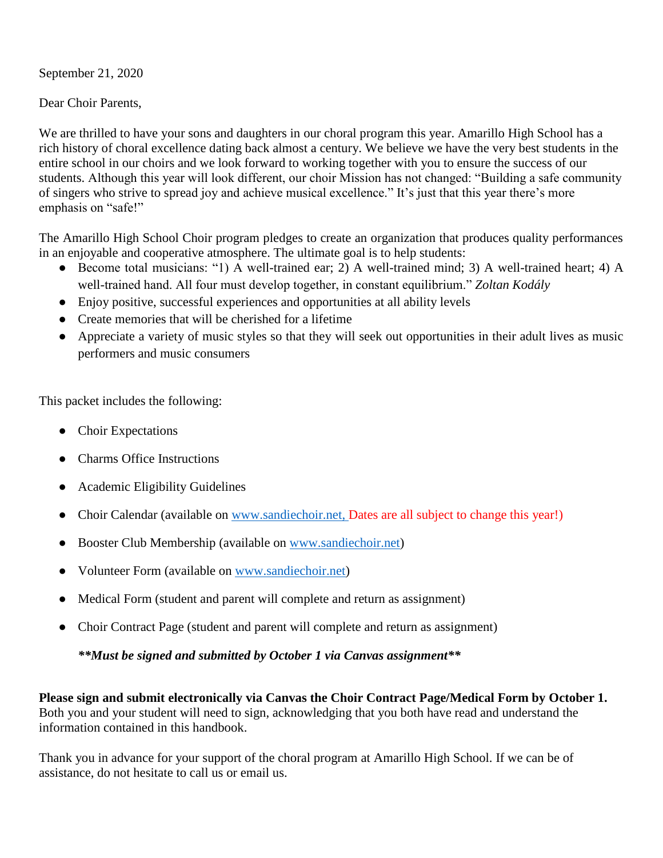September 21, 2020

Dear Choir Parents,

We are thrilled to have your sons and daughters in our choral program this year. Amarillo High School has a rich history of choral excellence dating back almost a century. We believe we have the very best students in the entire school in our choirs and we look forward to working together with you to ensure the success of our students. Although this year will look different, our choir Mission has not changed: "Building a safe community of singers who strive to spread joy and achieve musical excellence." It's just that this year there's more emphasis on "safe!"

The Amarillo High School Choir program pledges to create an organization that produces quality performances in an enjoyable and cooperative atmosphere. The ultimate goal is to help students:

- Become total musicians: "1) A well-trained ear; 2) A well-trained mind; 3) A well-trained heart; 4) A well-trained hand. All four must develop together, in constant equilibrium." *Zoltan Kodály*
- Enjoy positive, successful experiences and opportunities at all ability levels
- Create memories that will be cherished for a lifetime
- Appreciate a variety of music styles so that they will seek out opportunities in their adult lives as music performers and music consumers

This packet includes the following:

- Choir Expectations
- Charms Office Instructions
- Academic Eligibility Guidelines
- Choir Calendar (available on [www.sandiechoir.net,](http://www.sandiechoir.net/) Dates are all subject to change this year!)
- Booster Club Membership (available on [www.sandiechoir.net\)](http://www.sandiechoir.net/)
- Volunteer Form (available on [www.sandiechoir.net\)](http://www.sandiechoir.net/)
- Medical Form (student and parent will complete and return as assignment)
- Choir Contract Page (student and parent will complete and return as assignment)

*\*\*Must be signed and submitted by October 1 via Canvas assignment\*\**

**Please sign and submit electronically via Canvas the Choir Contract Page/Medical Form by October 1.** Both you and your student will need to sign, acknowledging that you both have read and understand the information contained in this handbook.

Thank you in advance for your support of the choral program at Amarillo High School. If we can be of assistance, do not hesitate to call us or email us.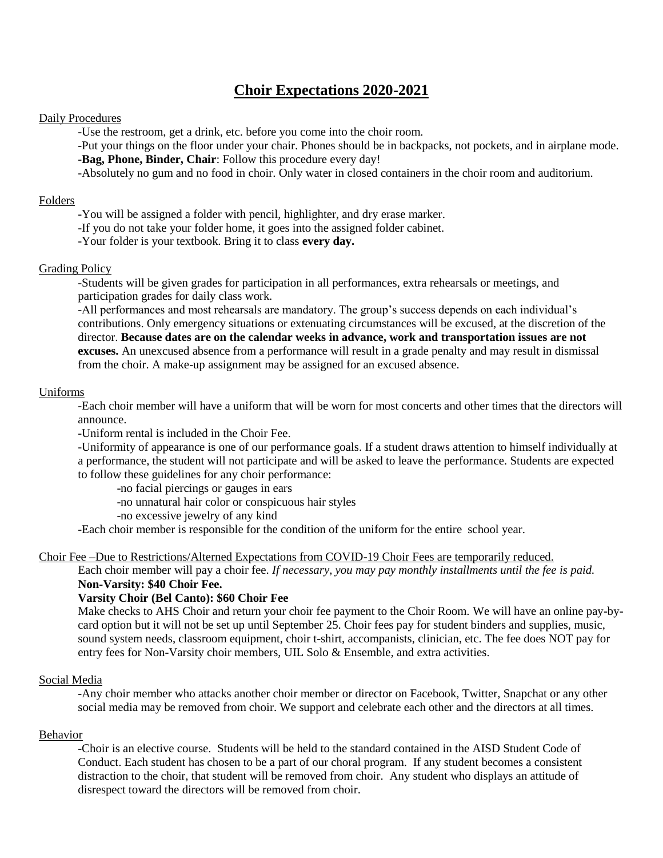## **Choir Expectations 2020-2021**

## Daily Procedures

-Use the restroom, get a drink, etc. before you come into the choir room.

-Put your things on the floor under your chair. Phones should be in backpacks, not pockets, and in airplane mode. -**Bag, Phone, Binder, Chair**: Follow this procedure every day!

-Absolutely no gum and no food in choir. Only water in closed containers in the choir room and auditorium.

## Folders

-You will be assigned a folder with pencil, highlighter, and dry erase marker.

-If you do not take your folder home, it goes into the assigned folder cabinet.

-Your folder is your textbook. Bring it to class **every day.**

### Grading Policy

-Students will be given grades for participation in all performances, extra rehearsals or meetings, and participation grades for daily class work.

-All performances and most rehearsals are mandatory. The group's success depends on each individual's contributions. Only emergency situations or extenuating circumstances will be excused, at the discretion of the director. **Because dates are on the calendar weeks in advance, work and transportation issues are not excuses.** An unexcused absence from a performance will result in a grade penalty and may result in dismissal from the choir. A make-up assignment may be assigned for an excused absence.

### Uniforms

-Each choir member will have a uniform that will be worn for most concerts and other times that the directors will announce.

-Uniform rental is included in the Choir Fee.

-Uniformity of appearance is one of our performance goals. If a student draws attention to himself individually at a performance, the student will not participate and will be asked to leave the performance. Students are expected to follow these guidelines for any choir performance:

-no facial piercings or gauges in ears

-no unnatural hair color or conspicuous hair styles

-no excessive jewelry of any kind

-Each choir member is responsible for the condition of the uniform for the entire school year.

Choir Fee –Due to Restrictions/Alterned Expectations from COVID-19 Choir Fees are temporarily reduced.

Each choir member will pay a choir fee. *If necessary, you may pay monthly installments until the fee is paid.* **Non-Varsity: \$40 Choir Fee.** 

## **Varsity Choir (Bel Canto): \$60 Choir Fee**

Make checks to AHS Choir and return your choir fee payment to the Choir Room. We will have an online pay-bycard option but it will not be set up until September 25. Choir fees pay for student binders and supplies, music, sound system needs, classroom equipment, choir t-shirt, accompanists, clinician, etc. The fee does NOT pay for entry fees for Non-Varsity choir members, UIL Solo & Ensemble, and extra activities.

### Social Media

-Any choir member who attacks another choir member or director on Facebook, Twitter, Snapchat or any other social media may be removed from choir. We support and celebrate each other and the directors at all times.

### Behavior

-Choir is an elective course. Students will be held to the standard contained in the AISD Student Code of Conduct. Each student has chosen to be a part of our choral program. If any student becomes a consistent distraction to the choir, that student will be removed from choir. Any student who displays an attitude of disrespect toward the directors will be removed from choir.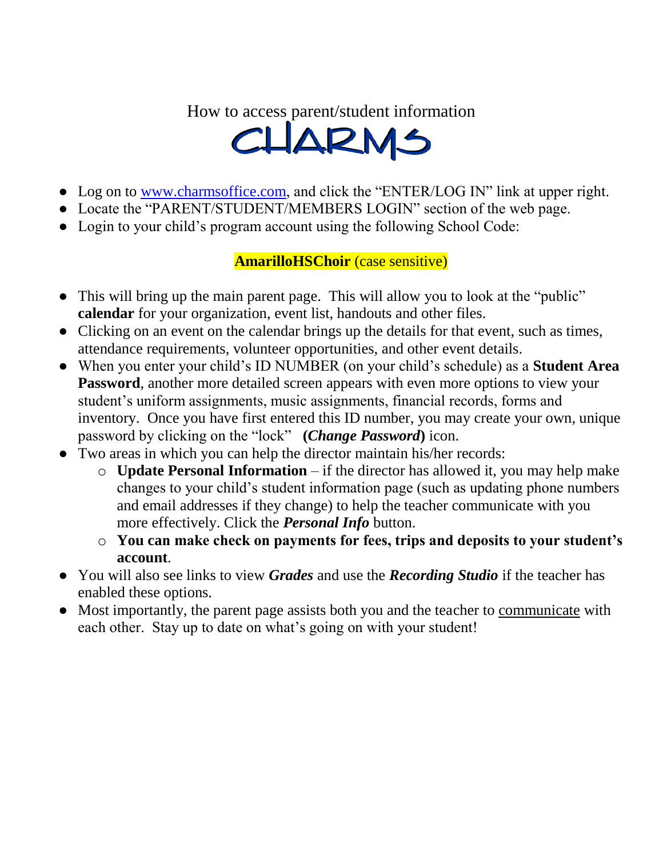# How to access parent/student information



- Log on to [www.charmsoffice.com,](http://www.charmsoffice.com/) and click the "ENTER/LOG IN" link at upper right.
- Locate the "PARENT/STUDENT/MEMBERS LOGIN" section of the web page.
- Login to your child's program account using the following School Code:

# **AmarilloHSChoir** (case sensitive)

- This will bring up the main parent page. This will allow you to look at the "public" **calendar** for your organization, event list, handouts and other files.
- Clicking on an event on the calendar brings up the details for that event, such as times, attendance requirements, volunteer opportunities, and other event details.
- When you enter your child's ID NUMBER (on your child's schedule) as a **Student Area Password**, another more detailed screen appears with even more options to view your student's uniform assignments, music assignments, financial records, forms and inventory. Once you have first entered this ID number, you may create your own, unique password by clicking on the "lock" **(***Change Password***)** icon.
- Two areas in which you can help the director maintain his/her records:
	- o **Update Personal Information** if the director has allowed it, you may help make changes to your child's student information page (such as updating phone numbers and email addresses if they change) to help the teacher communicate with you more effectively. Click the *Personal Info* button.
	- o **You can make check on payments for fees, trips and deposits to your student's account**.
- You will also see links to view *Grades* and use the *Recording Studio* if the teacher has enabled these options.
- Most importantly, the parent page assists both you and the teacher to communicate with each other. Stay up to date on what's going on with your student!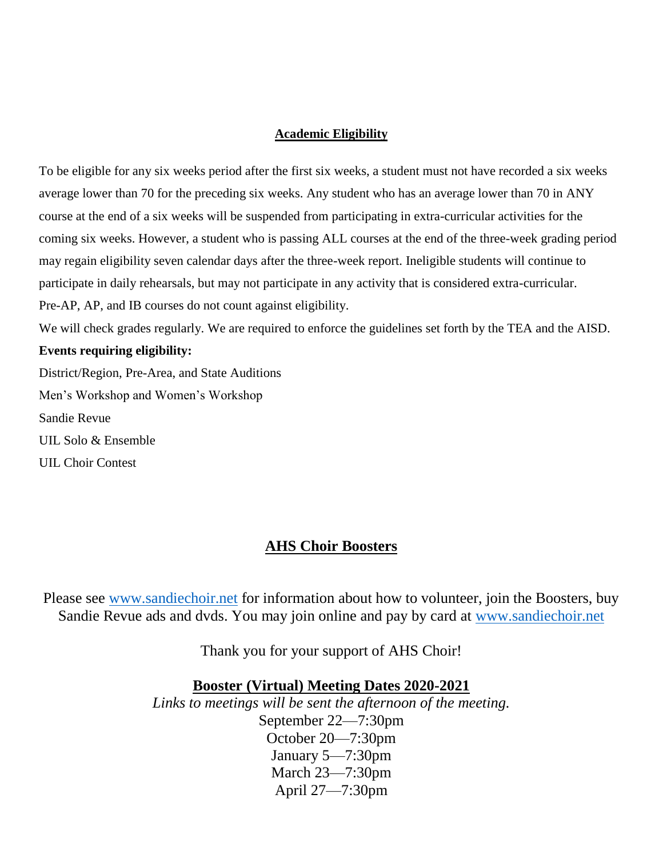## **Academic Eligibility**

To be eligible for any six weeks period after the first six weeks, a student must not have recorded a six weeks average lower than 70 for the preceding six weeks. Any student who has an average lower than 70 in ANY course at the end of a six weeks will be suspended from participating in extra-curricular activities for the coming six weeks. However, a student who is passing ALL courses at the end of the three-week grading period may regain eligibility seven calendar days after the three-week report. Ineligible students will continue to participate in daily rehearsals, but may not participate in any activity that is considered extra-curricular. Pre-AP, AP, and IB courses do not count against eligibility.

We will check grades regularly. We are required to enforce the guidelines set forth by the TEA and the AISD.

## **Events requiring eligibility:**

District/Region, Pre-Area, and State Auditions Men's Workshop and Women's Workshop Sandie Revue UIL Solo & Ensemble UIL Choir Contest

## **AHS Choir Boosters**

Please see [www.sandiechoir.net](http://www.sandiechoir.net/) for information about how to volunteer, join the Boosters, buy Sandie Revue ads and dvds. You may join online and pay by card at [www.sandiechoir.net](http://www.sandiechoir.net/)

Thank you for your support of AHS Choir!

## **Booster (Virtual) Meeting Dates 2020-2021**

*Links to meetings will be sent the afternoon of the meeting.* September 22—7:30pm October 20—7:30pm January 5—7:30pm March 23—7:30pm April 27—7:30pm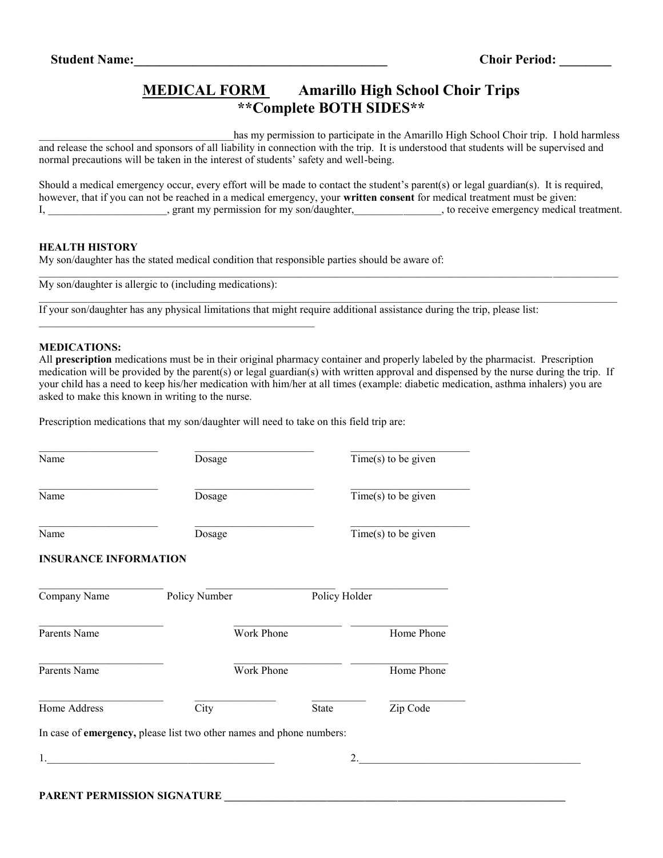## **MEDICAL FORM Amarillo High School Choir Trips \*\*Complete BOTH SIDES\*\***

has my permission to participate in the Amarillo High School Choir trip. I hold harmless and release the school and sponsors of all liability in connection with the trip. It is understood that students will be supervised and normal precautions will be taken in the interest of students' safety and well-being.

Should a medical emergency occur, every effort will be made to contact the student's parent(s) or legal guardian(s). It is required, however, that if you can not be reached in a medical emergency, your **written consent** for medical treatment must be given: I, grant my permission for my son/daughter, the receive emergency medical treatment.

 $\mathcal{L}_\mathcal{L} = \mathcal{L}_\mathcal{L} = \mathcal{L}_\mathcal{L} = \mathcal{L}_\mathcal{L} = \mathcal{L}_\mathcal{L} = \mathcal{L}_\mathcal{L} = \mathcal{L}_\mathcal{L} = \mathcal{L}_\mathcal{L} = \mathcal{L}_\mathcal{L} = \mathcal{L}_\mathcal{L} = \mathcal{L}_\mathcal{L} = \mathcal{L}_\mathcal{L} = \mathcal{L}_\mathcal{L} = \mathcal{L}_\mathcal{L} = \mathcal{L}_\mathcal{L} = \mathcal{L}_\mathcal{L} = \mathcal{L}_\mathcal{L}$ 

### **HEALTH HISTORY**

My son/daughter has the stated medical condition that responsible parties should be aware of:

My son/daughter is allergic to (including medications):

If your son/daughter has any physical limitations that might require additional assistance during the trip, please list:

#### **MEDICATIONS:**

All **prescription** medications must be in their original pharmacy container and properly labeled by the pharmacist. Prescription medication will be provided by the parent(s) or legal guardian(s) with written approval and dispensed by the nurse during the trip. If your child has a need to keep his/her medication with him/her at all times (example: diabetic medication, asthma inhalers) you are asked to make this known in writing to the nurse.

Prescription medications that my son/daughter will need to take on this field trip are:

| Name                         | Dosage                                                               |       | $\overline{\text{Time}(s)}$ to be given |  |
|------------------------------|----------------------------------------------------------------------|-------|-----------------------------------------|--|
| Name                         | Dosage                                                               |       | Time(s) to be given                     |  |
| Name                         | Dosage                                                               |       | $Time(s)$ to be given                   |  |
| <b>INSURANCE INFORMATION</b> |                                                                      |       |                                         |  |
| Company Name                 | Policy Number                                                        |       | Policy Holder                           |  |
| Parents Name                 | Work Phone                                                           |       | Home Phone                              |  |
| Parents Name                 | Work Phone                                                           |       | Home Phone                              |  |
| Home Address                 | City                                                                 | State | Zip Code                                |  |
|                              | In case of emergency, please list two other names and phone numbers: |       |                                         |  |
| 1.                           |                                                                      |       | 2.                                      |  |